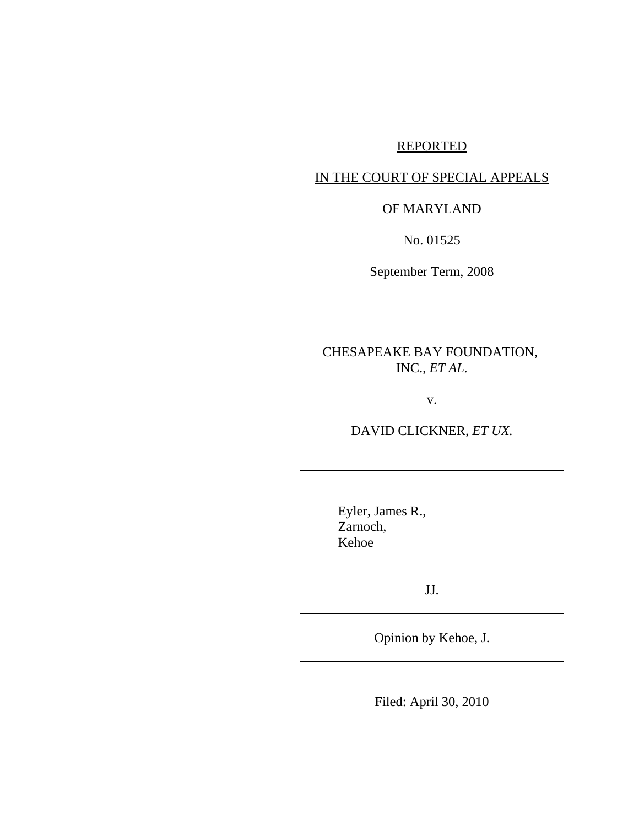# REPORTED

### IN THE COURT OF SPECIAL APPEALS

## OF MARYLAND

No. 01525

September Term, 2008

CHESAPEAKE BAY FOUNDATION, INC., *ET AL.*

v.

DAVID CLICKNER, *ET UX.*

Eyler, James R., Zarnoch, Kehoe

JJ.

Opinion by Kehoe, J.

Filed: April 30, 2010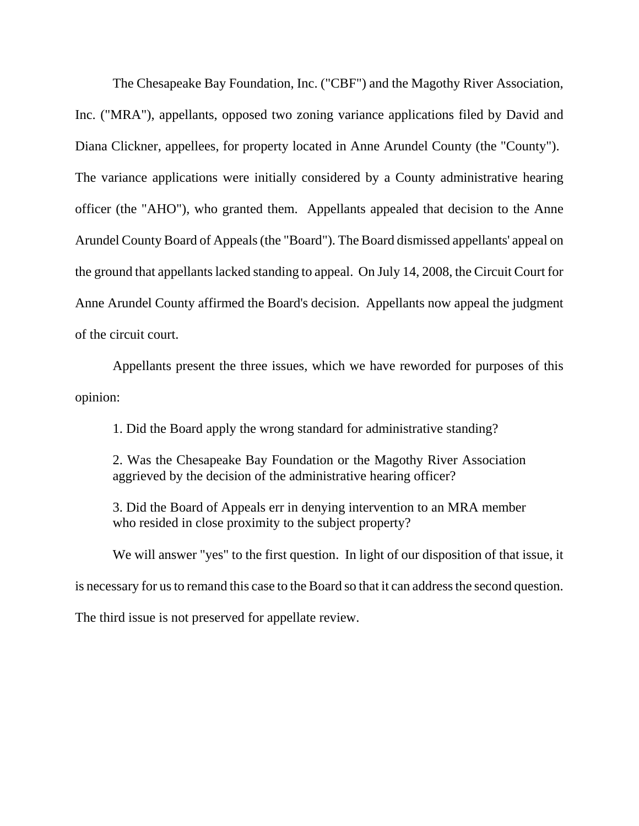The Chesapeake Bay Foundation, Inc. ("CBF") and the Magothy River Association, Inc. ("MRA"), appellants, opposed two zoning variance applications filed by David and Diana Clickner, appellees, for property located in Anne Arundel County (the "County"). The variance applications were initially considered by a County administrative hearing officer (the "AHO"), who granted them. Appellants appealed that decision to the Anne Arundel County Board of Appeals (the "Board"). The Board dismissed appellants' appeal on the ground that appellants lacked standing to appeal. On July 14, 2008, the Circuit Court for Anne Arundel County affirmed the Board's decision. Appellants now appeal the judgment of the circuit court.

Appellants present the three issues, which we have reworded for purposes of this opinion:

1. Did the Board apply the wrong standard for administrative standing?

2. Was the Chesapeake Bay Foundation or the Magothy River Association aggrieved by the decision of the administrative hearing officer?

3. Did the Board of Appeals err in denying intervention to an MRA member who resided in close proximity to the subject property?

We will answer "yes" to the first question. In light of our disposition of that issue, it

is necessary for us to remand this case to the Board so that it can address the second question.

The third issue is not preserved for appellate review.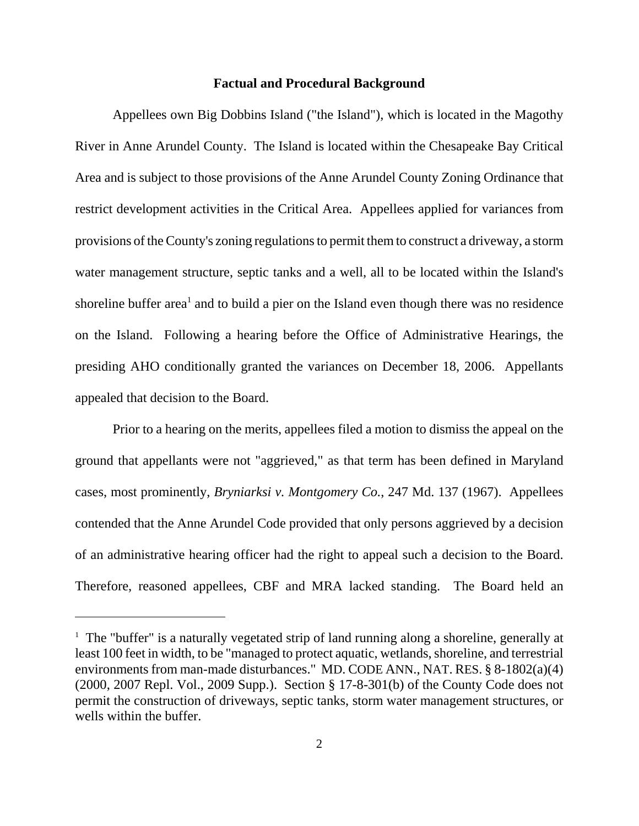#### **Factual and Procedural Background**

Appellees own Big Dobbins Island ("the Island"), which is located in the Magothy River in Anne Arundel County. The Island is located within the Chesapeake Bay Critical Area and is subject to those provisions of the Anne Arundel County Zoning Ordinance that restrict development activities in the Critical Area. Appellees applied for variances from provisions of the County's zoning regulations to permit them to construct a driveway, a storm water management structure, septic tanks and a well, all to be located within the Island's shoreline buffer area<sup>1</sup> and to build a pier on the Island even though there was no residence on the Island. Following a hearing before the Office of Administrative Hearings, the presiding AHO conditionally granted the variances on December 18, 2006. Appellants appealed that decision to the Board.

Prior to a hearing on the merits, appellees filed a motion to dismiss the appeal on the ground that appellants were not "aggrieved," as that term has been defined in Maryland cases, most prominently, *Bryniarksi v. Montgomery Co.*, 247 Md. 137 (1967). Appellees contended that the Anne Arundel Code provided that only persons aggrieved by a decision of an administrative hearing officer had the right to appeal such a decision to the Board. Therefore, reasoned appellees, CBF and MRA lacked standing. The Board held an

<sup>&</sup>lt;sup>1</sup> The "buffer" is a naturally vegetated strip of land running along a shoreline, generally at least 100 feet in width, to be "managed to protect aquatic, wetlands, shoreline, and terrestrial environments from man-made disturbances." MD. CODE ANN., NAT. RES. § 8-1802(a)(4) (2000, 2007 Repl. Vol., 2009 Supp.). Section § 17-8-301(b) of the County Code does not permit the construction of driveways, septic tanks, storm water management structures, or wells within the buffer.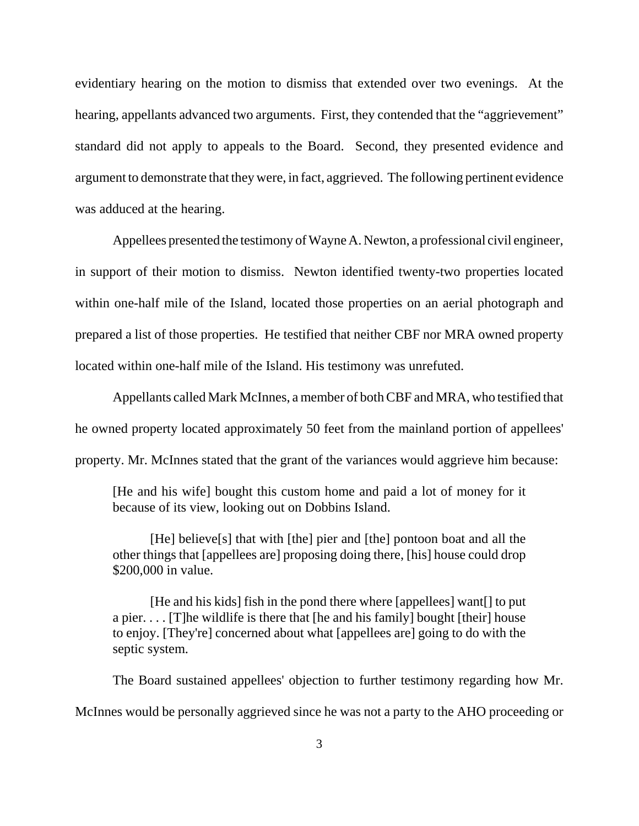evidentiary hearing on the motion to dismiss that extended over two evenings. At the hearing, appellants advanced two arguments. First, they contended that the "aggrievement" standard did not apply to appeals to the Board. Second, they presented evidence and argument to demonstrate that they were, in fact, aggrieved. The following pertinent evidence was adduced at the hearing.

Appellees presented the testimony of Wayne A. Newton, a professional civil engineer, in support of their motion to dismiss. Newton identified twenty-two properties located within one-half mile of the Island, located those properties on an aerial photograph and prepared a list of those properties. He testified that neither CBF nor MRA owned property located within one-half mile of the Island. His testimony was unrefuted.

Appellants called Mark McInnes, a member of both CBF and MRA, who testified that he owned property located approximately 50 feet from the mainland portion of appellees' property. Mr. McInnes stated that the grant of the variances would aggrieve him because:

[He and his wife] bought this custom home and paid a lot of money for it because of its view, looking out on Dobbins Island.

[He] believe[s] that with [the] pier and [the] pontoon boat and all the other things that [appellees are] proposing doing there, [his] house could drop \$200,000 in value.

[He and his kids] fish in the pond there where [appellees] want[] to put a pier.... [T]he wildlife is there that [he and his family] bought [their] house to enjoy. [They're] concerned about what [appellees are] going to do with the septic system.

The Board sustained appellees' objection to further testimony regarding how Mr. McInnes would be personally aggrieved since he was not a party to the AHO proceeding or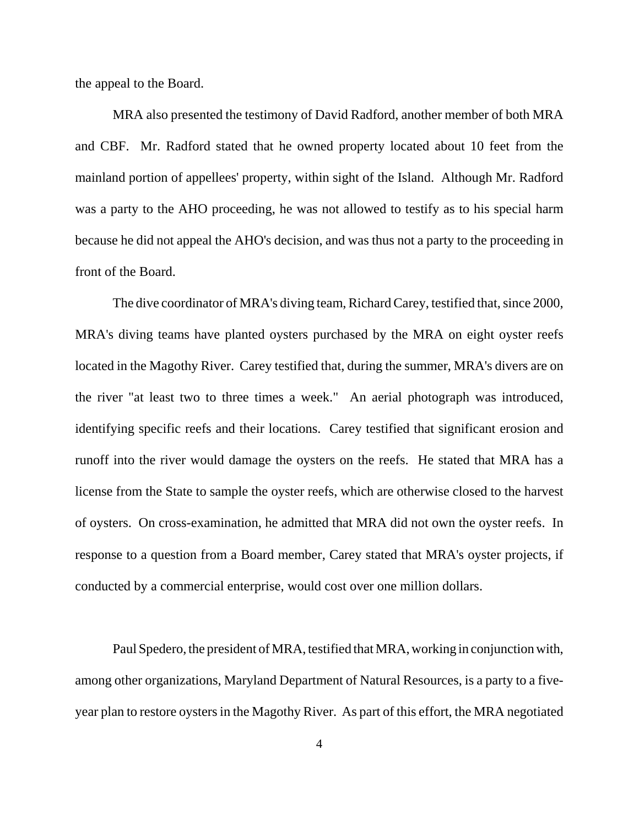the appeal to the Board.

MRA also presented the testimony of David Radford, another member of both MRA and CBF. Mr. Radford stated that he owned property located about 10 feet from the mainland portion of appellees' property, within sight of the Island. Although Mr. Radford was a party to the AHO proceeding, he was not allowed to testify as to his special harm because he did not appeal the AHO's decision, and was thus not a party to the proceeding in front of the Board.

The dive coordinator of MRA's diving team, Richard Carey, testified that, since 2000, MRA's diving teams have planted oysters purchased by the MRA on eight oyster reefs located in the Magothy River. Carey testified that, during the summer, MRA's divers are on the river "at least two to three times a week." An aerial photograph was introduced, identifying specific reefs and their locations. Carey testified that significant erosion and runoff into the river would damage the oysters on the reefs. He stated that MRA has a license from the State to sample the oyster reefs, which are otherwise closed to the harvest of oysters. On cross-examination, he admitted that MRA did not own the oyster reefs. In response to a question from a Board member, Carey stated that MRA's oyster projects, if conducted by a commercial enterprise, would cost over one million dollars.

Paul Spedero, the president of MRA, testified that MRA, working in conjunction with, among other organizations, Maryland Department of Natural Resources, is a party to a fiveyear plan to restore oysters in the Magothy River. As part of this effort, the MRA negotiated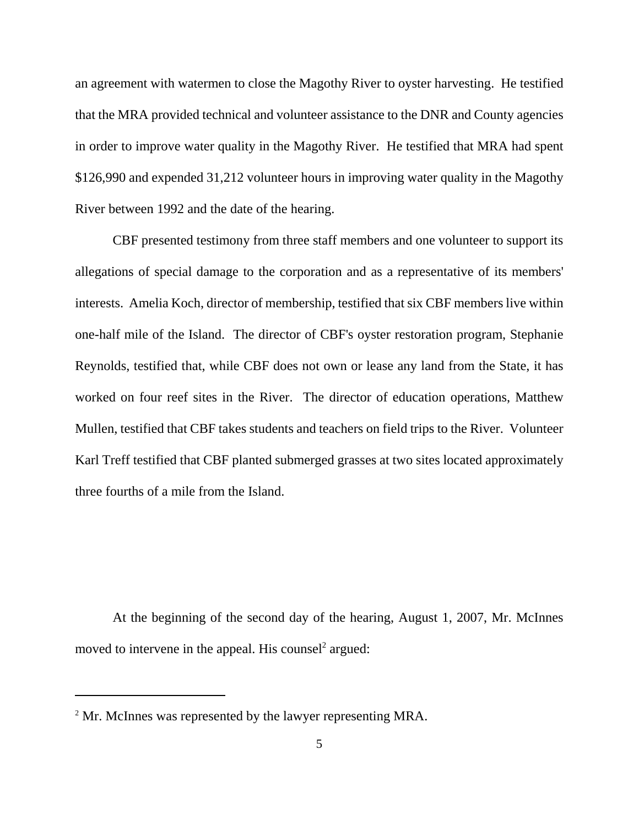an agreement with watermen to close the Magothy River to oyster harvesting. He testified that the MRA provided technical and volunteer assistance to the DNR and County agencies in order to improve water quality in the Magothy River. He testified that MRA had spent \$126,990 and expended 31,212 volunteer hours in improving water quality in the Magothy River between 1992 and the date of the hearing.

CBF presented testimony from three staff members and one volunteer to support its allegations of special damage to the corporation and as a representative of its members' interests. Amelia Koch, director of membership, testified that six CBF members live within one-half mile of the Island. The director of CBF's oyster restoration program, Stephanie Reynolds, testified that, while CBF does not own or lease any land from the State, it has worked on four reef sites in the River. The director of education operations, Matthew Mullen, testified that CBF takes students and teachers on field trips to the River. Volunteer Karl Treff testified that CBF planted submerged grasses at two sites located approximately three fourths of a mile from the Island.

At the beginning of the second day of the hearing, August 1, 2007, Mr. McInnes moved to intervene in the appeal. His counsel<sup>2</sup> argued:

 $2^2$  Mr. McInnes was represented by the lawyer representing MRA.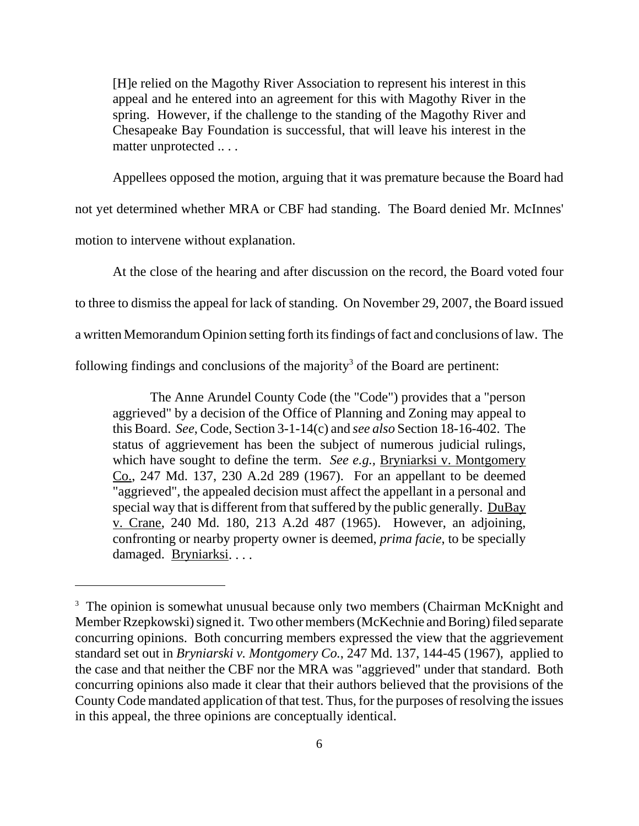[H]e relied on the Magothy River Association to represent his interest in this appeal and he entered into an agreement for this with Magothy River in the spring. However, if the challenge to the standing of the Magothy River and Chesapeake Bay Foundation is successful, that will leave his interest in the matter unprotected .. . .

Appellees opposed the motion, arguing that it was premature because the Board had

not yet determined whether MRA or CBF had standing. The Board denied Mr. McInnes'

motion to intervene without explanation.

At the close of the hearing and after discussion on the record, the Board voted four to three to dismiss the appeal for lack of standing. On November 29, 2007, the Board issued a written Memorandum Opinion setting forth its findings of fact and conclusions of law. The following findings and conclusions of the majority<sup>3</sup> of the Board are pertinent:

The Anne Arundel County Code (the "Code") provides that a "person aggrieved" by a decision of the Office of Planning and Zoning may appeal to this Board. *See*, Code, Section 3-1-14(c) and *see also* Section 18-16-402. The status of aggrievement has been the subject of numerous judicial rulings, which have sought to define the term. *See e.g.,* Bryniarksi v. Montgomery Co., 247 Md. 137, 230 A.2d 289 (1967). For an appellant to be deemed "aggrieved", the appealed decision must affect the appellant in a personal and special way that is different from that suffered by the public generally. DuBay v. Crane, 240 Md. 180, 213 A.2d 487 (1965). However, an adjoining, confronting or nearby property owner is deemed, *prima facie*, to be specially damaged. Bryniarksi. . . .

<sup>&</sup>lt;sup>3</sup> The opinion is somewhat unusual because only two members (Chairman McKnight and Member Rzepkowski) signed it. Two other members (McKechnie and Boring) filed separate concurring opinions. Both concurring members expressed the view that the aggrievement standard set out in *Bryniarski v. Montgomery Co.*, 247 Md. 137, 144-45 (1967),applied to the case and that neither the CBF nor the MRA was "aggrieved" under that standard. Both concurring opinions also made it clear that their authors believed that the provisions of the County Code mandated application of that test. Thus, for the purposes of resolving the issues in this appeal, the three opinions are conceptually identical.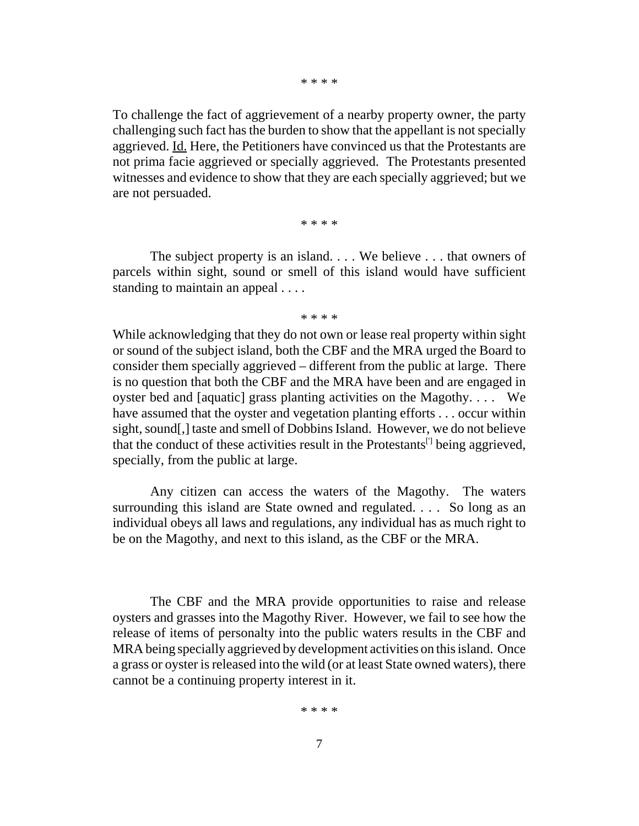\* \* \* \*

To challenge the fact of aggrievement of a nearby property owner, the party challenging such fact has the burden to show that the appellant is not specially aggrieved. Id. Here, the Petitioners have convinced us that the Protestants are not prima facie aggrieved or specially aggrieved. The Protestants presented witnesses and evidence to show that they are each specially aggrieved; but we are not persuaded.

\* \* \* \*

The subject property is an island. . . . We believe . . . that owners of parcels within sight, sound or smell of this island would have sufficient standing to maintain an appeal . . . .

\* \* \* \*

While acknowledging that they do not own or lease real property within sight or sound of the subject island, both the CBF and the MRA urged the Board to consider them specially aggrieved – different from the public at large. There is no question that both the CBF and the MRA have been and are engaged in oyster bed and [aquatic] grass planting activities on the Magothy. . . . We have assumed that the oyster and vegetation planting efforts . . . occur within sight, sound[,] taste and smell of Dobbins Island. However, we do not believe that the conduct of these activities result in the Protestants<sup>[]</sup> being aggrieved, specially, from the public at large.

Any citizen can access the waters of the Magothy. The waters surrounding this island are State owned and regulated. . . . So long as an individual obeys all laws and regulations, any individual has as much right to be on the Magothy, and next to this island, as the CBF or the MRA.

The CBF and the MRA provide opportunities to raise and release oysters and grasses into the Magothy River. However, we fail to see how the release of items of personalty into the public waters results in the CBF and MRA being specially aggrieved by development activities on this island. Once a grass or oyster is released into the wild (or at least State owned waters), there cannot be a continuing property interest in it.

\* \* \* \*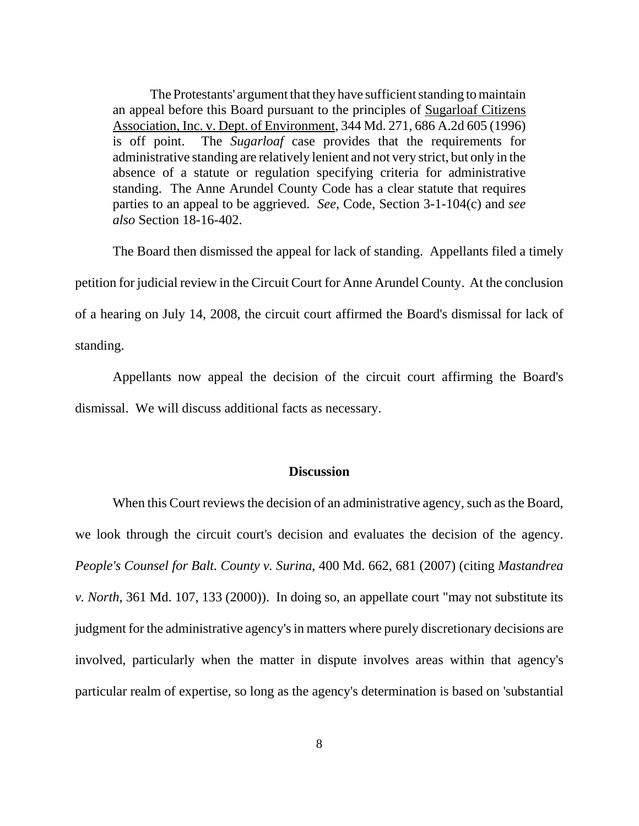The Protestants' argument that they have sufficient standing to maintain an appeal before this Board pursuant to the principles of Sugarloaf Citizens Association, Inc. v. Dept. of Environment, 344 Md. 271, 686 A.2d 605 (1996) is off point. The *Sugarloaf* case provides that the requirements for administrative standing are relatively lenient and not very strict, but only in the absence of a statute or regulation specifying criteria for administrative standing. The Anne Arundel County Code has a clear statute that requires parties to an appeal to be aggrieved. *See*, Code, Section 3-1-104(c) and *see also* Section 18-16-402.

The Board then dismissed the appeal for lack of standing. Appellants filed a timely petition for judicial review in the Circuit Court for Anne Arundel County. At the conclusion of a hearing on July 14, 2008, the circuit court affirmed the Board's dismissal for lack of standing.

Appellants now appeal the decision of the circuit court affirming the Board's dismissal. We will discuss additional facts as necessary.

### **Discussion**

When this Court reviews the decision of an administrative agency, such as the Board, we look through the circuit court's decision and evaluates the decision of the agency. *People's Counsel for Balt. County v. Surina*, 400 Md. 662, 681 (2007) (citing *Mastandrea v. North*, 361 Md. 107, 133 (2000)). In doing so, an appellate court "may not substitute its judgment for the administrative agency's in matters where purely discretionary decisions are involved, particularly when the matter in dispute involves areas within that agency's particular realm of expertise, so long as the agency's determination is based on 'substantial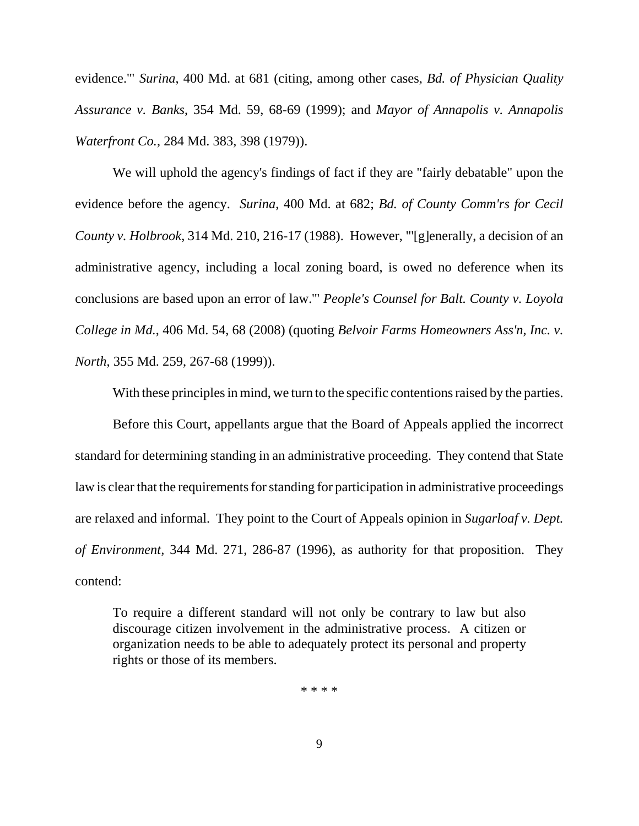evidence.'" *Surina*, 400 Md. at 681 (citing, among other cases, *Bd. of Physician Quality Assurance v. Banks*, 354 Md. 59, 68-69 (1999); and *Mayor of Annapolis v. Annapolis Waterfront Co.*, 284 Md. 383, 398 (1979)).

We will uphold the agency's findings of fact if they are "fairly debatable" upon the evidence before the agency. *Surina*, 400 Md. at 682; *Bd. of County Comm'rs for Cecil County v. Holbrook*, 314 Md. 210, 216-17 (1988). However, "'[g]enerally, a decision of an administrative agency, including a local zoning board, is owed no deference when its conclusions are based upon an error of law.'" *People's Counsel for Balt. County v. Loyola College in Md.*, 406 Md. 54, 68 (2008) (quoting *Belvoir Farms Homeowners Ass'n, Inc. v. North*, 355 Md. 259, 267-68 (1999)).

With these principles in mind, we turn to the specific contentions raised by the parties.

Before this Court, appellants argue that the Board of Appeals applied the incorrect standard for determining standing in an administrative proceeding. They contend that State law is clear that the requirements for standing for participation in administrative proceedings are relaxed and informal. They point to the Court of Appeals opinion in *Sugarloaf v. Dept. of Environment,* 344 Md. 271, 286-87 (1996), as authority for that proposition. They contend:

To require a different standard will not only be contrary to law but also discourage citizen involvement in the administrative process. A citizen or organization needs to be able to adequately protect its personal and property rights or those of its members.

\* \* \* \*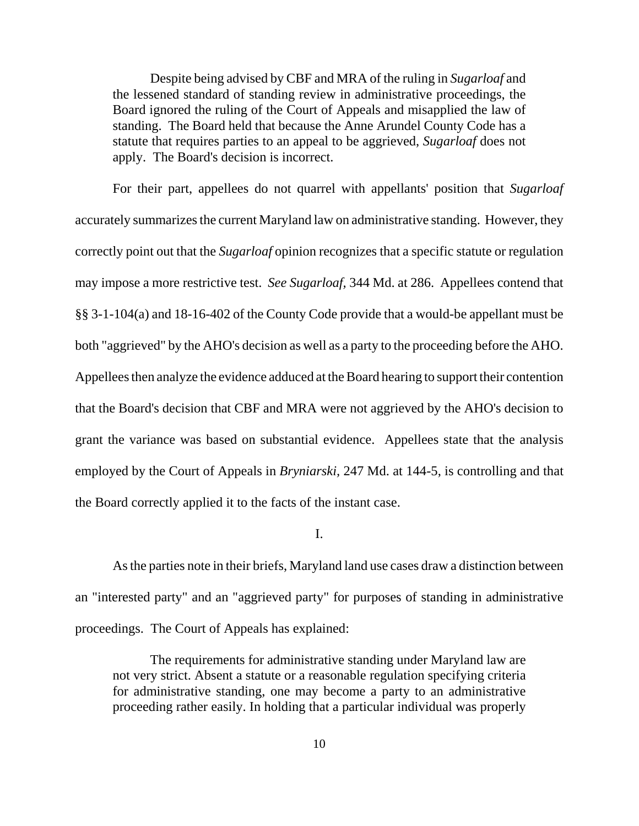Despite being advised by CBF and MRA of the ruling in *Sugarloaf* and the lessened standard of standing review in administrative proceedings, the Board ignored the ruling of the Court of Appeals and misapplied the law of standing. The Board held that because the Anne Arundel County Code has a statute that requires parties to an appeal to be aggrieved, *Sugarloaf* does not apply. The Board's decision is incorrect.

For their part, appellees do not quarrel with appellants' position that *Sugarloaf* accurately summarizes the current Maryland law on administrative standing. However, they correctly point out that the *Sugarloaf* opinion recognizes that a specific statute or regulation may impose a more restrictive test. *See Sugarloaf,* 344 Md. at 286. Appellees contend that §§ 3-1-104(a) and 18-16-402 of the County Code provide that a would-be appellant must be both "aggrieved" by the AHO's decision as well as a party to the proceeding before the AHO. Appellees then analyze the evidence adduced at the Board hearing to support their contention that the Board's decision that CBF and MRA were not aggrieved by the AHO's decision to grant the variance was based on substantial evidence. Appellees state that the analysis employed by the Court of Appeals in *Bryniarski,* 247 Md. at 144-5, is controlling and that the Board correctly applied it to the facts of the instant case.

I.

As the parties note in their briefs, Maryland land use cases draw a distinction between an "interested party" and an "aggrieved party" for purposes of standing in administrative proceedings. The Court of Appeals has explained:

The requirements for administrative standing under Maryland law are not very strict. Absent a statute or a reasonable regulation specifying criteria for administrative standing, one may become a party to an administrative proceeding rather easily. In holding that a particular individual was properly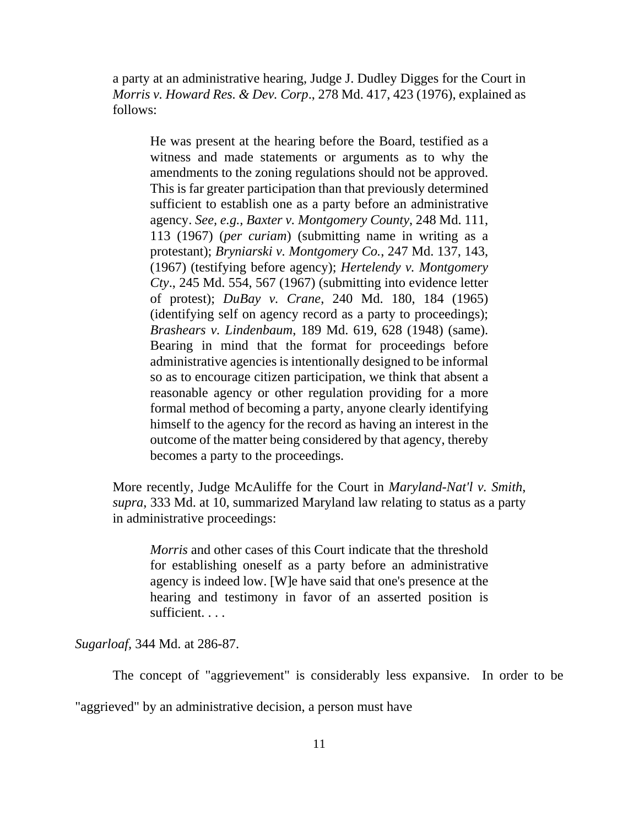a party at an administrative hearing, Judge J. Dudley Digges for the Court in *Morris v. Howard Res. & Dev. Corp*., 278 Md. 417, 423 (1976), explained as follows:

 He was present at the hearing before the Board, testified as a witness and made statements or arguments as to why the amendments to the zoning regulations should not be approved. This is far greater participation than that previously determined sufficient to establish one as a party before an administrative agency. *See, e.g., Baxter v. Montgomery County*, 248 Md. 111, 113 (1967) (*per curiam*) (submitting name in writing as a protestant); *Bryniarski v. Montgomery Co.*, 247 Md. 137, 143, (1967) (testifying before agency); *Hertelendy v. Montgomery Cty*., 245 Md. 554, 567 (1967) (submitting into evidence letter of protest); *DuBay v. Crane*, 240 Md. 180, 184 (1965) (identifying self on agency record as a party to proceedings); *Brashears v. Lindenbaum*, 189 Md. 619, 628 (1948) (same). Bearing in mind that the format for proceedings before administrative agencies is intentionally designed to be informal so as to encourage citizen participation, we think that absent a reasonable agency or other regulation providing for a more formal method of becoming a party, anyone clearly identifying himself to the agency for the record as having an interest in the outcome of the matter being considered by that agency, thereby becomes a party to the proceedings.

More recently, Judge McAuliffe for the Court in *Maryland-Nat'l v. Smith*, *supra*, 333 Md. at 10, summarized Maryland law relating to status as a party in administrative proceedings:

*Morris* and other cases of this Court indicate that the threshold for establishing oneself as a party before an administrative agency is indeed low. [W]e have said that one's presence at the hearing and testimony in favor of an asserted position is sufficient. . . .

*Sugarloaf,* 344 Md. at 286-87.

The concept of "aggrievement" is considerably less expansive. In order to be

"aggrieved" by an administrative decision, a person must have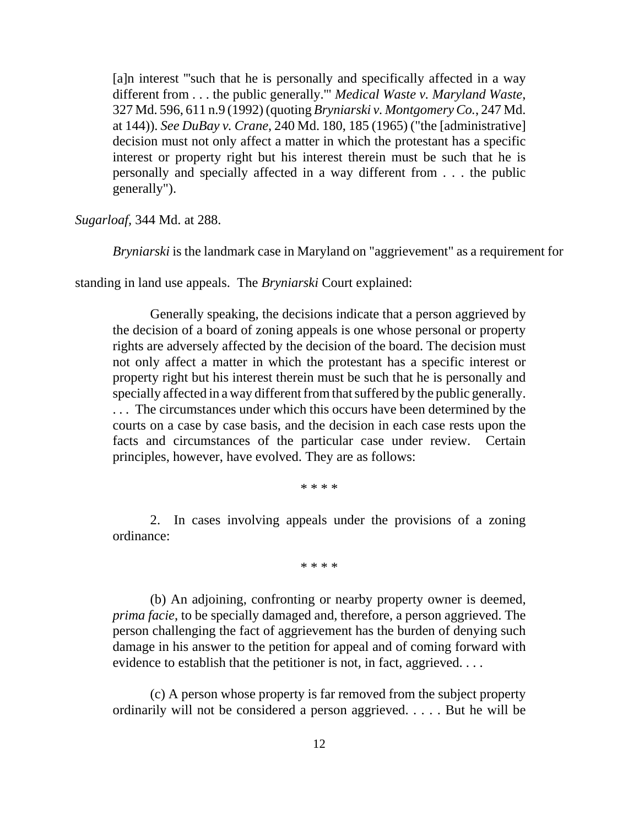[a]n interest '''such that he is personally and specifically affected in a way different from . . . the public generally.'" *Medical Waste v. Maryland Waste*, 327 Md. 596, 611 n.9 (1992) (quoting *Bryniarski v. Montgomery Co.*, 247 Md. at 144)). *See DuBay v. Crane*, 240 Md. 180, 185 (1965) ("the [administrative] decision must not only affect a matter in which the protestant has a specific interest or property right but his interest therein must be such that he is personally and specially affected in a way different from . . . the public generally").

*Sugarloaf,* 344 Md. at 288.

*Bryniarski* is the landmark case in Maryland on "aggrievement" as a requirement for

standing in land use appeals. The *Bryniarski* Court explained:

Generally speaking, the decisions indicate that a person aggrieved by the decision of a board of zoning appeals is one whose personal or property rights are adversely affected by the decision of the board. The decision must not only affect a matter in which the protestant has a specific interest or property right but his interest therein must be such that he is personally and specially affected in a way different from that suffered by the public generally. . . . The circumstances under which this occurs have been determined by the courts on a case by case basis, and the decision in each case rests upon the facts and circumstances of the particular case under review. Certain principles, however, have evolved. They are as follows:

\* \* \* \*

2. In cases involving appeals under the provisions of a zoning ordinance:

\* \* \* \*

(b) An adjoining, confronting or nearby property owner is deemed, *prima facie*, to be specially damaged and, therefore, a person aggrieved. The person challenging the fact of aggrievement has the burden of denying such damage in his answer to the petition for appeal and of coming forward with evidence to establish that the petitioner is not, in fact, aggrieved. . . .

(c) A person whose property is far removed from the subject property ordinarily will not be considered a person aggrieved. . . . . But he will be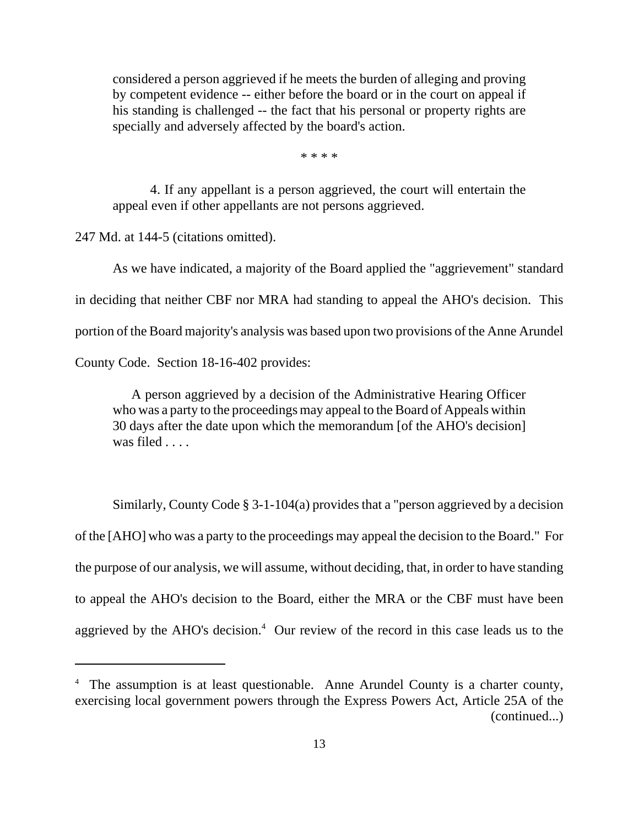considered a person aggrieved if he meets the burden of alleging and proving by competent evidence -- either before the board or in the court on appeal if his standing is challenged -- the fact that his personal or property rights are specially and adversely affected by the board's action.

\* \* \* \*

4. If any appellant is a person aggrieved, the court will entertain the appeal even if other appellants are not persons aggrieved.

247 Md. at 144-5 (citations omitted).

As we have indicated, a majority of the Board applied the "aggrievement" standard in deciding that neither CBF nor MRA had standing to appeal the AHO's decision. This portion of the Board majority's analysis was based upon two provisions of the Anne Arundel

County Code. Section 18-16-402 provides:

 A person aggrieved by a decision of the Administrative Hearing Officer who was a party to the proceedings may appeal to the Board of Appeals within 30 days after the date upon which the memorandum [of the AHO's decision] was filed . . . .

Similarly, County Code § 3-1-104(a) provides that a "person aggrieved by a decision of the [AHO] who was a party to the proceedings may appeal the decision to the Board." For the purpose of our analysis, we will assume, without deciding, that, in order to have standing to appeal the AHO's decision to the Board, either the MRA or the CBF must have been aggrieved by the AHO's decision. $4$  Our review of the record in this case leads us to the

<sup>&</sup>lt;sup>4</sup> The assumption is at least questionable. Anne Arundel County is a charter county, exercising local government powers through the Express Powers Act, Article 25A of the (continued...)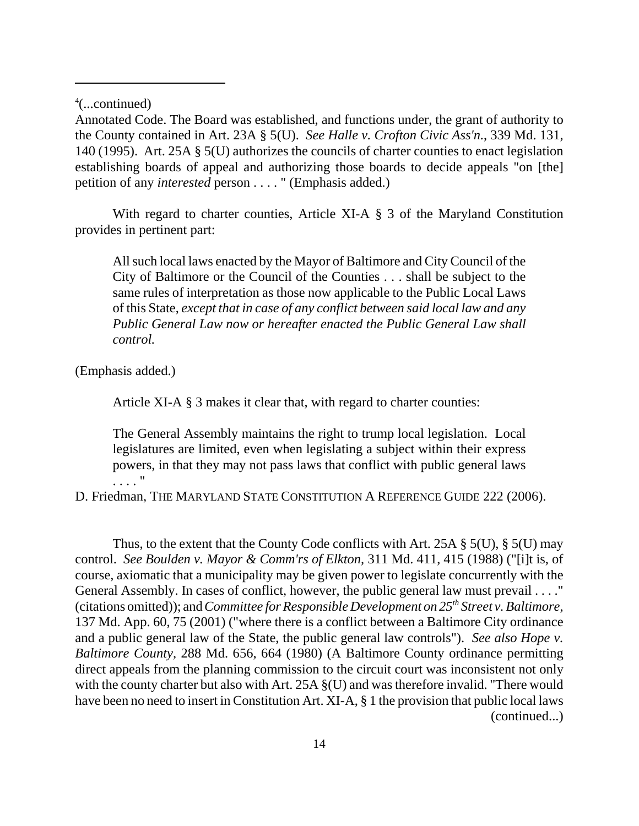4 (...continued)

Annotated Code. The Board was established, and functions under, the grant of authority to the County contained in Art. 23A § 5(U). *See Halle v. Crofton Civic Ass'n.*, 339 Md. 131, 140 (1995). Art. 25A § 5(U) authorizes the councils of charter counties to enact legislation establishing boards of appeal and authorizing those boards to decide appeals "on [the] petition of any *interested* person . . . . " (Emphasis added.)

With regard to charter counties, Article XI-A § 3 of the Maryland Constitution provides in pertinent part:

All such local laws enacted by the Mayor of Baltimore and City Council of the City of Baltimore or the Council of the Counties . . . shall be subject to the same rules of interpretation as those now applicable to the Public Local Laws of this State, *except that in case of any conflict between said local law and any Public General Law now or hereafter enacted the Public General Law shall control.*

(Emphasis added.)

Article XI-A § 3 makes it clear that, with regard to charter counties:

The General Assembly maintains the right to trump local legislation. Local legislatures are limited, even when legislating a subject within their express powers, in that they may not pass laws that conflict with public general laws . . . . "

D. Friedman, THE MARYLAND STATE CONSTITUTION A REFERENCE GUIDE 222 (2006).

Thus, to the extent that the County Code conflicts with Art. 25A § 5(U), § 5(U) may control. *See Boulden v. Mayor & Comm'rs of Elkton,* 311 Md. 411, 415 (1988) ("[i]t is, of course, axiomatic that a municipality may be given power to legislate concurrently with the General Assembly. In cases of conflict, however, the public general law must prevail . . . ." (citations omitted)); and *Committee for Responsible Development on 25th Street v. Baltimore*, 137 Md. App. 60, 75 (2001) ("where there is a conflict between a Baltimore City ordinance and a public general law of the State, the public general law controls"). *See also Hope v. Baltimore County,* 288 Md. 656, 664 (1980) (A Baltimore County ordinance permitting direct appeals from the planning commission to the circuit court was inconsistent not only with the county charter but also with Art. 25A  $\S$ (U) and was therefore invalid. "There would have been no need to insert in Constitution Art. XI-A, § 1 the provision that public local laws (continued...)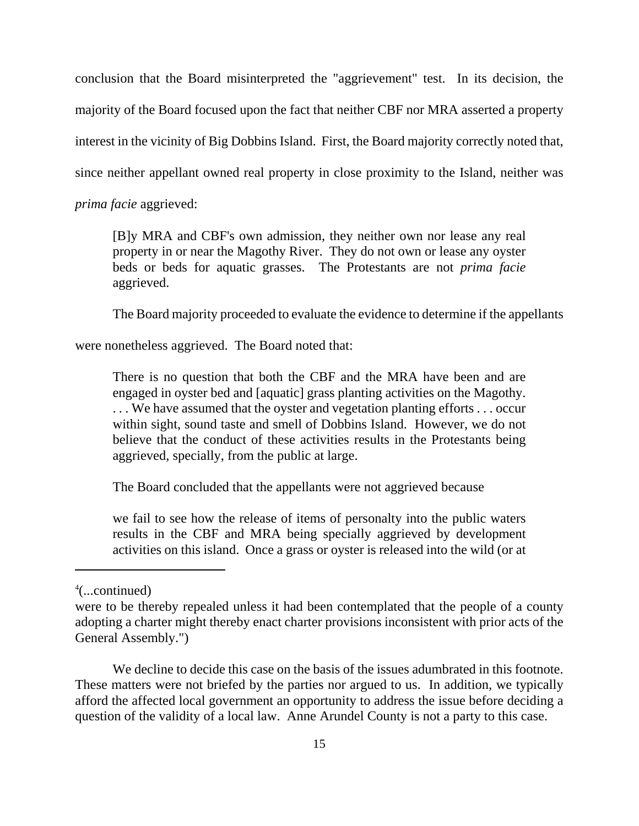conclusion that the Board misinterpreted the "aggrievement" test. In its decision, the majority of the Board focused upon the fact that neither CBF nor MRA asserted a property interest in the vicinity of Big Dobbins Island. First, the Board majority correctly noted that, since neither appellant owned real property in close proximity to the Island, neither was *prima facie* aggrieved:

[B]y MRA and CBF's own admission, they neither own nor lease any real property in or near the Magothy River. They do not own or lease any oyster beds or beds for aquatic grasses. The Protestants are not *prima facie* aggrieved.

The Board majority proceeded to evaluate the evidence to determine if the appellants

were nonetheless aggrieved. The Board noted that:

There is no question that both the CBF and the MRA have been and are engaged in oyster bed and [aquatic] grass planting activities on the Magothy. . . . We have assumed that the oyster and vegetation planting efforts . . . occur within sight, sound taste and smell of Dobbins Island. However, we do not believe that the conduct of these activities results in the Protestants being aggrieved, specially, from the public at large.

The Board concluded that the appellants were not aggrieved because

we fail to see how the release of items of personalty into the public waters results in the CBF and MRA being specially aggrieved by development activities on this island. Once a grass or oyster is released into the wild (or at

We decline to decide this case on the basis of the issues adumbrated in this footnote. These matters were not briefed by the parties nor argued to us. In addition, we typically afford the affected local government an opportunity to address the issue before deciding a question of the validity of a local law. Anne Arundel County is not a party to this case.

<sup>4</sup> (...continued)

were to be thereby repealed unless it had been contemplated that the people of a county adopting a charter might thereby enact charter provisions inconsistent with prior acts of the General Assembly.")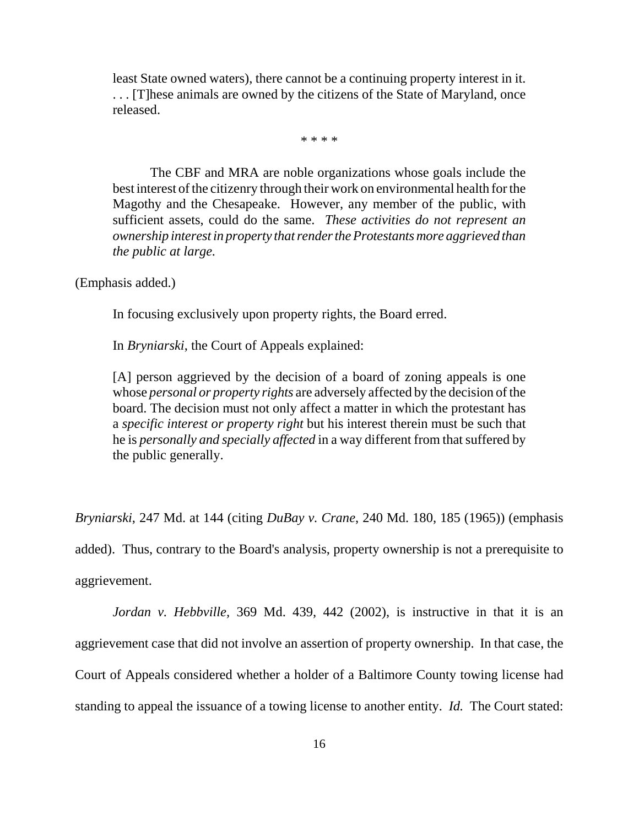least State owned waters), there cannot be a continuing property interest in it. . . . [T]hese animals are owned by the citizens of the State of Maryland, once released.

\* \* \* \*

The CBF and MRA are noble organizations whose goals include the best interest of the citizenry through their work on environmental health for the Magothy and the Chesapeake. However, any member of the public, with sufficient assets, could do the same. *These activities do not represent an ownership interest in property that render the Protestants more aggrieved than the public at large.*

(Emphasis added.)

In focusing exclusively upon property rights, the Board erred.

In *Bryniarski*, the Court of Appeals explained:

[A] person aggrieved by the decision of a board of zoning appeals is one whose *personal or property rights* are adversely affected by the decision of the board. The decision must not only affect a matter in which the protestant has a *specific interest or property right* but his interest therein must be such that he is *personally and specially affected* in a way different from that suffered by the public generally.

*Bryniarski*, 247 Md. at 144 (citing *DuBay v. Crane*, 240 Md. 180, 185 (1965)) (emphasis added). Thus, contrary to the Board's analysis, property ownership is not a prerequisite to aggrievement.

*Jordan v. Hebbville,* 369 Md. 439, 442 (2002), is instructive in that it is an aggrievement case that did not involve an assertion of property ownership. In that case, the Court of Appeals considered whether a holder of a Baltimore County towing license had standing to appeal the issuance of a towing license to another entity. *Id.* The Court stated: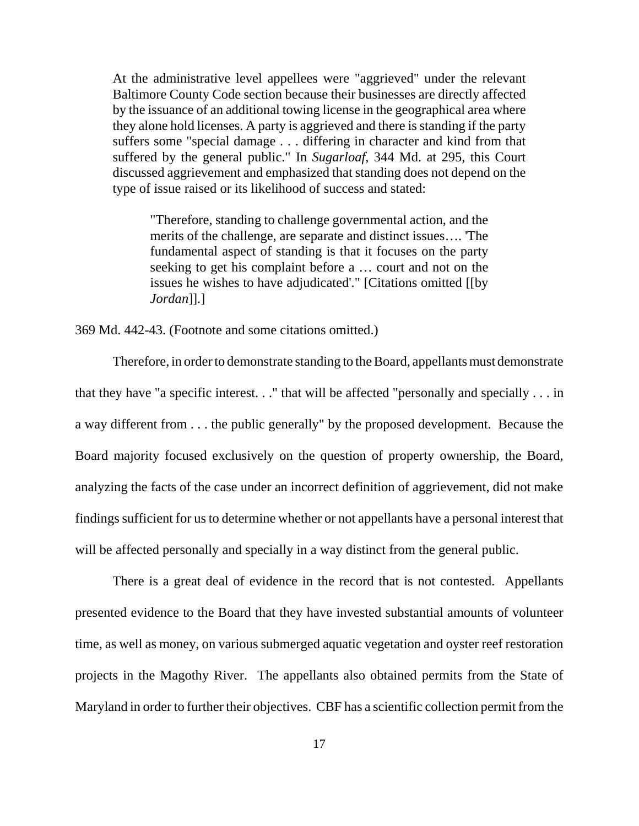At the administrative level appellees were "aggrieved" under the relevant Baltimore County Code section because their businesses are directly affected by the issuance of an additional towing license in the geographical area where they alone hold licenses. A party is aggrieved and there is standing if the party suffers some "special damage . . . differing in character and kind from that suffered by the general public." In *Sugarloaf*, 344 Md. at 295, this Court discussed aggrievement and emphasized that standing does not depend on the type of issue raised or its likelihood of success and stated:

"Therefore, standing to challenge governmental action, and the merits of the challenge, are separate and distinct issues…. 'The fundamental aspect of standing is that it focuses on the party seeking to get his complaint before a … court and not on the issues he wishes to have adjudicated'." [Citations omitted [[by *Jordan*]].]

369 Md. 442-43. (Footnote and some citations omitted.)

Therefore, in order to demonstrate standing to the Board, appellants must demonstrate that they have "a specific interest. . ." that will be affected "personally and specially . . . in a way different from . . . the public generally" by the proposed development. Because the Board majority focused exclusively on the question of property ownership, the Board, analyzing the facts of the case under an incorrect definition of aggrievement, did not make findings sufficient for us to determine whether or not appellants have a personal interest that will be affected personally and specially in a way distinct from the general public.

There is a great deal of evidence in the record that is not contested. Appellants presented evidence to the Board that they have invested substantial amounts of volunteer time, as well as money, on various submerged aquatic vegetation and oyster reef restoration projects in the Magothy River. The appellants also obtained permits from the State of Maryland in order to further their objectives. CBF has a scientific collection permit from the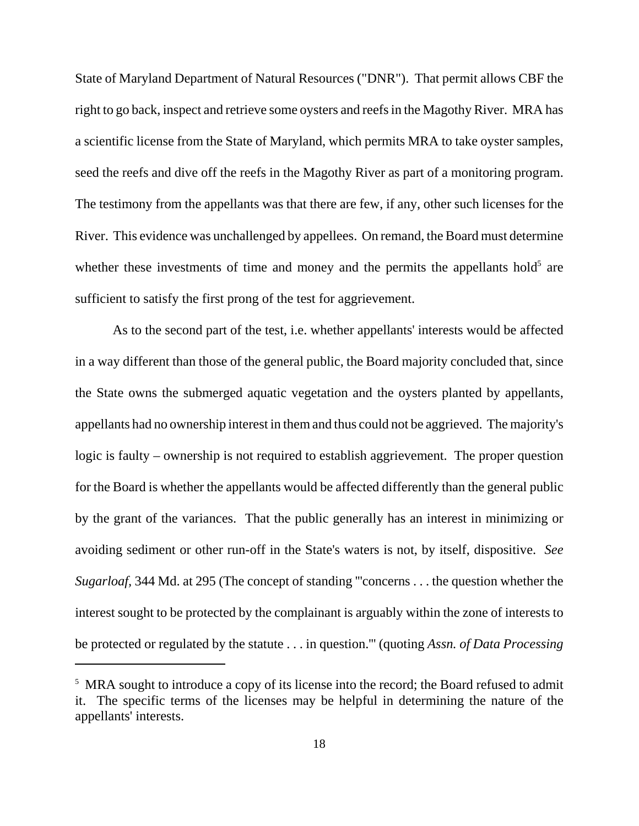State of Maryland Department of Natural Resources ("DNR"). That permit allows CBF the right to go back, inspect and retrieve some oysters and reefs in the Magothy River. MRA has a scientific license from the State of Maryland, which permits MRA to take oyster samples, seed the reefs and dive off the reefs in the Magothy River as part of a monitoring program. The testimony from the appellants was that there are few, if any, other such licenses for the River. This evidence was unchallenged by appellees. On remand, the Board must determine whether these investments of time and money and the permits the appellants hold<sup>5</sup> are sufficient to satisfy the first prong of the test for aggrievement.

As to the second part of the test, i.e. whether appellants' interests would be affected in a way different than those of the general public, the Board majority concluded that, since the State owns the submerged aquatic vegetation and the oysters planted by appellants, appellants had no ownership interest in them and thus could not be aggrieved. The majority's logic is faulty – ownership is not required to establish aggrievement. The proper question for the Board is whether the appellants would be affected differently than the general public by the grant of the variances. That the public generally has an interest in minimizing or avoiding sediment or other run-off in the State's waters is not, by itself, dispositive. *See Sugarloaf,* 344 Md. at 295 (The concept of standing "'concerns . . . the question whether the interest sought to be protected by the complainant is arguably within the zone of interests to be protected or regulated by the statute . . . in question.''' (quoting *Assn. of Data Processing*

<sup>&</sup>lt;sup>5</sup> MRA sought to introduce a copy of its license into the record; the Board refused to admit it. The specific terms of the licenses may be helpful in determining the nature of the appellants' interests.